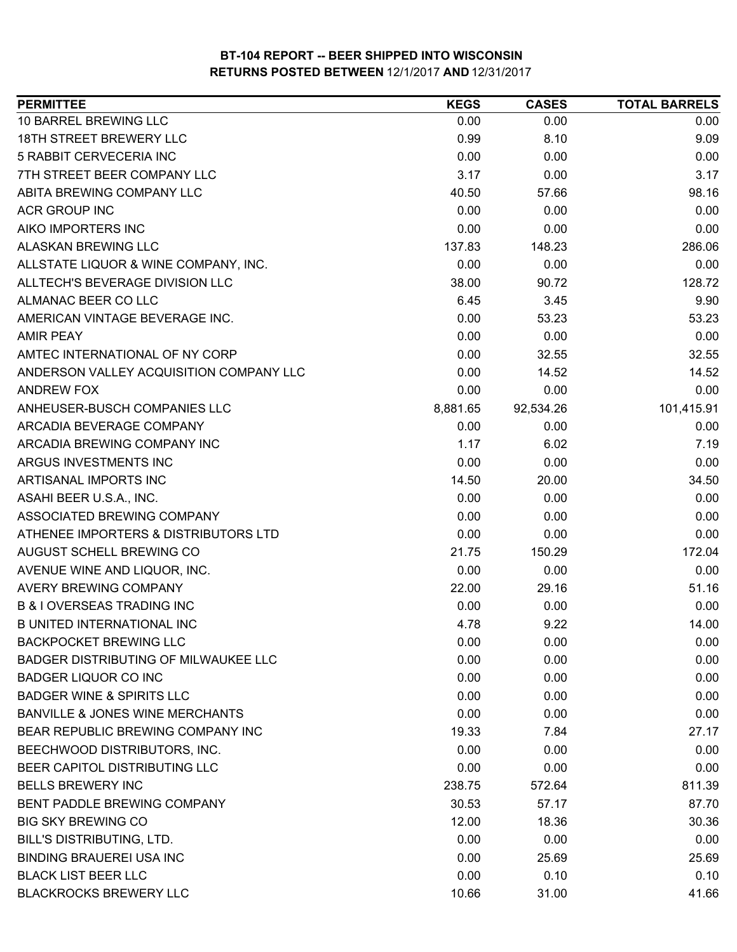| <b>PERMITTEE</b>                           | <b>KEGS</b> | <b>CASES</b> | <b>TOTAL BARRELS</b> |
|--------------------------------------------|-------------|--------------|----------------------|
| 10 BARREL BREWING LLC                      | 0.00        | 0.00         | 0.00                 |
| <b>18TH STREET BREWERY LLC</b>             | 0.99        | 8.10         | 9.09                 |
| 5 RABBIT CERVECERIA INC                    | 0.00        | 0.00         | 0.00                 |
| 7TH STREET BEER COMPANY LLC                | 3.17        | 0.00         | 3.17                 |
| ABITA BREWING COMPANY LLC                  | 40.50       | 57.66        | 98.16                |
| <b>ACR GROUP INC</b>                       | 0.00        | 0.00         | 0.00                 |
| AIKO IMPORTERS INC                         | 0.00        | 0.00         | 0.00                 |
| ALASKAN BREWING LLC                        | 137.83      | 148.23       | 286.06               |
| ALLSTATE LIQUOR & WINE COMPANY, INC.       | 0.00        | 0.00         | 0.00                 |
| ALLTECH'S BEVERAGE DIVISION LLC            | 38.00       | 90.72        | 128.72               |
| ALMANAC BEER CO LLC                        | 6.45        | 3.45         | 9.90                 |
| AMERICAN VINTAGE BEVERAGE INC.             | 0.00        | 53.23        | 53.23                |
| <b>AMIR PEAY</b>                           | 0.00        | 0.00         | 0.00                 |
| AMTEC INTERNATIONAL OF NY CORP             | 0.00        | 32.55        | 32.55                |
| ANDERSON VALLEY ACQUISITION COMPANY LLC    | 0.00        | 14.52        | 14.52                |
| <b>ANDREW FOX</b>                          | 0.00        | 0.00         | 0.00                 |
| ANHEUSER-BUSCH COMPANIES LLC               | 8,881.65    | 92,534.26    | 101,415.91           |
| ARCADIA BEVERAGE COMPANY                   | 0.00        | 0.00         | 0.00                 |
| ARCADIA BREWING COMPANY INC                | 1.17        | 6.02         | 7.19                 |
| ARGUS INVESTMENTS INC                      | 0.00        | 0.00         | 0.00                 |
| ARTISANAL IMPORTS INC                      | 14.50       | 20.00        | 34.50                |
| ASAHI BEER U.S.A., INC.                    | 0.00        | 0.00         | 0.00                 |
| ASSOCIATED BREWING COMPANY                 | 0.00        | 0.00         | 0.00                 |
| ATHENEE IMPORTERS & DISTRIBUTORS LTD       | 0.00        | 0.00         | 0.00                 |
| AUGUST SCHELL BREWING CO                   | 21.75       | 150.29       | 172.04               |
| AVENUE WINE AND LIQUOR, INC.               | 0.00        | 0.00         | 0.00                 |
| <b>AVERY BREWING COMPANY</b>               | 22.00       | 29.16        | 51.16                |
| <b>B &amp; I OVERSEAS TRADING INC</b>      | 0.00        | 0.00         | 0.00                 |
| <b>B UNITED INTERNATIONAL INC</b>          | 4.78        | 9.22         | 14.00                |
| <b>BACKPOCKET BREWING LLC</b>              | 0.00        | 0.00         | 0.00                 |
| BADGER DISTRIBUTING OF MILWAUKEE LLC       | 0.00        | 0.00         | 0.00                 |
| <b>BADGER LIQUOR CO INC</b>                | 0.00        | 0.00         | 0.00                 |
| <b>BADGER WINE &amp; SPIRITS LLC</b>       | 0.00        | 0.00         | 0.00                 |
| <b>BANVILLE &amp; JONES WINE MERCHANTS</b> | 0.00        | 0.00         | 0.00                 |
| <b>BEAR REPUBLIC BREWING COMPANY INC</b>   | 19.33       | 7.84         | 27.17                |
| BEECHWOOD DISTRIBUTORS, INC.               | 0.00        | 0.00         | 0.00                 |
| BEER CAPITOL DISTRIBUTING LLC              | 0.00        | 0.00         | 0.00                 |
| <b>BELLS BREWERY INC</b>                   | 238.75      | 572.64       | 811.39               |
| BENT PADDLE BREWING COMPANY                | 30.53       | 57.17        | 87.70                |
| <b>BIG SKY BREWING CO</b>                  | 12.00       | 18.36        | 30.36                |
| BILL'S DISTRIBUTING, LTD.                  | 0.00        | 0.00         | 0.00                 |
| <b>BINDING BRAUEREI USA INC</b>            | 0.00        | 25.69        | 25.69                |
| <b>BLACK LIST BEER LLC</b>                 | 0.00        | 0.10         | 0.10                 |
| <b>BLACKROCKS BREWERY LLC</b>              | 10.66       | 31.00        | 41.66                |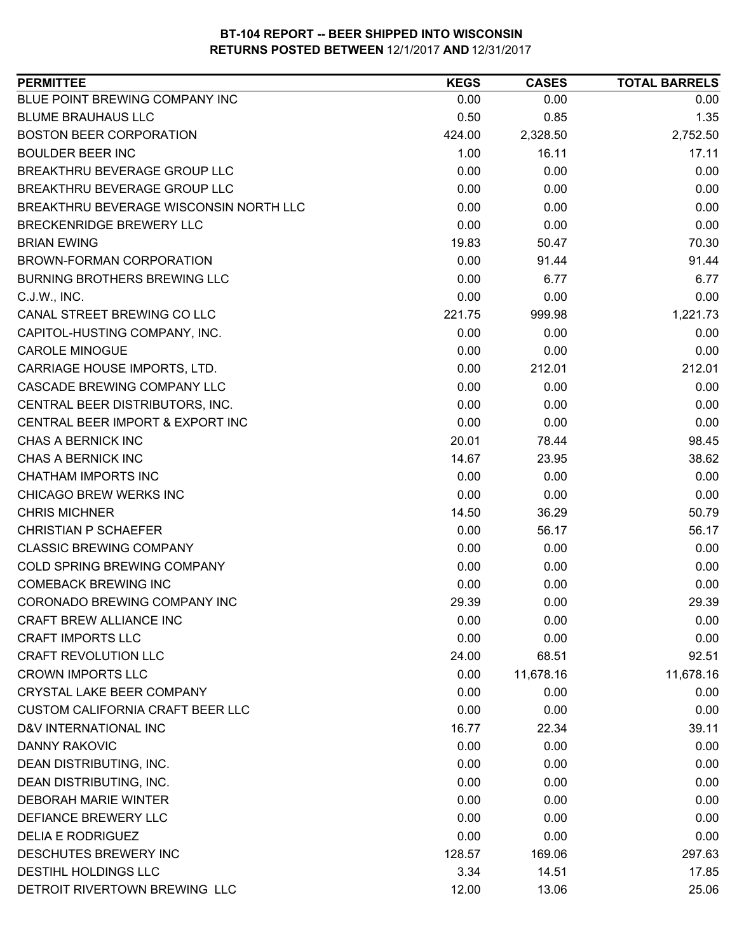| BLUE POINT BREWING COMPANY INC<br>0.00<br>0.00<br>0.00<br><b>BLUME BRAUHAUS LLC</b><br>0.50<br>0.85<br>1.35<br><b>BOSTON BEER CORPORATION</b><br>2,752.50<br>424.00<br>2,328.50<br><b>BOULDER BEER INC</b><br>1.00<br>16.11<br>17.11<br>0.00<br>0.00<br>0.00<br>BREAKTHRU BEVERAGE GROUP LLC<br>BREAKTHRU BEVERAGE GROUP LLC<br>0.00<br>0.00<br>0.00<br>BREAKTHRU BEVERAGE WISCONSIN NORTH LLC<br>0.00<br>0.00<br>0.00<br>0.00<br>BRECKENRIDGE BREWERY LLC<br>0.00<br>0.00<br>19.83<br>70.30<br><b>BRIAN EWING</b><br>50.47<br>0.00<br>91.44<br>BROWN-FORMAN CORPORATION<br>91.44<br>0.00<br><b>BURNING BROTHERS BREWING LLC</b><br>6.77<br>6.77<br>0.00<br>0.00<br>C.J.W., INC.<br>0.00<br>221.75<br>999.98<br>1,221.73<br>CANAL STREET BREWING CO LLC<br>0.00<br>0.00<br>CAPITOL-HUSTING COMPANY, INC.<br>0.00<br><b>CAROLE MINOGUE</b><br>0.00<br>0.00<br>0.00<br>212.01<br>CARRIAGE HOUSE IMPORTS, LTD.<br>0.00<br>212.01<br>0.00<br>CASCADE BREWING COMPANY LLC<br>0.00<br>0.00<br>CENTRAL BEER DISTRIBUTORS, INC.<br>0.00<br>0.00<br>0.00<br>CENTRAL BEER IMPORT & EXPORT INC<br>0.00<br>0.00<br>0.00<br>CHAS A BERNICK INC<br>98.45<br>20.01<br>78.44<br>CHAS A BERNICK INC<br>14.67<br>38.62<br>23.95<br><b>CHATHAM IMPORTS INC</b><br>0.00<br>0.00<br>0.00<br>CHICAGO BREW WERKS INC<br>0.00<br>0.00<br>0.00<br><b>CHRIS MICHNER</b><br>14.50<br>36.29<br>50.79<br>0.00<br>56.17<br>56.17<br><b>CHRISTIAN P SCHAEFER</b><br><b>CLASSIC BREWING COMPANY</b><br>0.00<br>0.00<br>0.00<br>COLD SPRING BREWING COMPANY<br>0.00<br>0.00<br>0.00<br><b>COMEBACK BREWING INC</b><br>0.00<br>0.00<br>0.00<br>CORONADO BREWING COMPANY INC<br>29.39<br>0.00<br>29.39<br>CRAFT BREW ALLIANCE INC<br>0.00<br>0.00<br>0.00<br><b>CRAFT IMPORTS LLC</b><br>0.00<br>0.00<br>0.00<br><b>CRAFT REVOLUTION LLC</b><br>68.51<br>92.51<br>24.00<br><b>CROWN IMPORTS LLC</b><br>0.00<br>11,678.16<br>11,678.16<br><b>CRYSTAL LAKE BEER COMPANY</b><br>0.00<br>0.00<br>0.00<br>0.00<br><b>CUSTOM CALIFORNIA CRAFT BEER LLC</b><br>0.00<br>0.00<br>D&V INTERNATIONAL INC<br>16.77<br>22.34<br>39.11<br>0.00<br><b>DANNY RAKOVIC</b><br>0.00<br>0.00<br>DEAN DISTRIBUTING, INC.<br>0.00<br>0.00<br>0.00<br>DEAN DISTRIBUTING, INC.<br>0.00<br>0.00<br>0.00 | <b>PERMITTEE</b>            | <b>KEGS</b> | <b>CASES</b> | <b>TOTAL BARRELS</b> |
|---------------------------------------------------------------------------------------------------------------------------------------------------------------------------------------------------------------------------------------------------------------------------------------------------------------------------------------------------------------------------------------------------------------------------------------------------------------------------------------------------------------------------------------------------------------------------------------------------------------------------------------------------------------------------------------------------------------------------------------------------------------------------------------------------------------------------------------------------------------------------------------------------------------------------------------------------------------------------------------------------------------------------------------------------------------------------------------------------------------------------------------------------------------------------------------------------------------------------------------------------------------------------------------------------------------------------------------------------------------------------------------------------------------------------------------------------------------------------------------------------------------------------------------------------------------------------------------------------------------------------------------------------------------------------------------------------------------------------------------------------------------------------------------------------------------------------------------------------------------------------------------------------------------------------------------------------------------------------------------------------------------------------------------------------------------------------------------------------------------------------------------------------------------------------------------------------------------------------------------------|-----------------------------|-------------|--------------|----------------------|
|                                                                                                                                                                                                                                                                                                                                                                                                                                                                                                                                                                                                                                                                                                                                                                                                                                                                                                                                                                                                                                                                                                                                                                                                                                                                                                                                                                                                                                                                                                                                                                                                                                                                                                                                                                                                                                                                                                                                                                                                                                                                                                                                                                                                                                             |                             |             |              |                      |
|                                                                                                                                                                                                                                                                                                                                                                                                                                                                                                                                                                                                                                                                                                                                                                                                                                                                                                                                                                                                                                                                                                                                                                                                                                                                                                                                                                                                                                                                                                                                                                                                                                                                                                                                                                                                                                                                                                                                                                                                                                                                                                                                                                                                                                             |                             |             |              |                      |
|                                                                                                                                                                                                                                                                                                                                                                                                                                                                                                                                                                                                                                                                                                                                                                                                                                                                                                                                                                                                                                                                                                                                                                                                                                                                                                                                                                                                                                                                                                                                                                                                                                                                                                                                                                                                                                                                                                                                                                                                                                                                                                                                                                                                                                             |                             |             |              |                      |
|                                                                                                                                                                                                                                                                                                                                                                                                                                                                                                                                                                                                                                                                                                                                                                                                                                                                                                                                                                                                                                                                                                                                                                                                                                                                                                                                                                                                                                                                                                                                                                                                                                                                                                                                                                                                                                                                                                                                                                                                                                                                                                                                                                                                                                             |                             |             |              |                      |
|                                                                                                                                                                                                                                                                                                                                                                                                                                                                                                                                                                                                                                                                                                                                                                                                                                                                                                                                                                                                                                                                                                                                                                                                                                                                                                                                                                                                                                                                                                                                                                                                                                                                                                                                                                                                                                                                                                                                                                                                                                                                                                                                                                                                                                             |                             |             |              |                      |
|                                                                                                                                                                                                                                                                                                                                                                                                                                                                                                                                                                                                                                                                                                                                                                                                                                                                                                                                                                                                                                                                                                                                                                                                                                                                                                                                                                                                                                                                                                                                                                                                                                                                                                                                                                                                                                                                                                                                                                                                                                                                                                                                                                                                                                             |                             |             |              |                      |
|                                                                                                                                                                                                                                                                                                                                                                                                                                                                                                                                                                                                                                                                                                                                                                                                                                                                                                                                                                                                                                                                                                                                                                                                                                                                                                                                                                                                                                                                                                                                                                                                                                                                                                                                                                                                                                                                                                                                                                                                                                                                                                                                                                                                                                             |                             |             |              |                      |
|                                                                                                                                                                                                                                                                                                                                                                                                                                                                                                                                                                                                                                                                                                                                                                                                                                                                                                                                                                                                                                                                                                                                                                                                                                                                                                                                                                                                                                                                                                                                                                                                                                                                                                                                                                                                                                                                                                                                                                                                                                                                                                                                                                                                                                             |                             |             |              |                      |
|                                                                                                                                                                                                                                                                                                                                                                                                                                                                                                                                                                                                                                                                                                                                                                                                                                                                                                                                                                                                                                                                                                                                                                                                                                                                                                                                                                                                                                                                                                                                                                                                                                                                                                                                                                                                                                                                                                                                                                                                                                                                                                                                                                                                                                             |                             |             |              |                      |
|                                                                                                                                                                                                                                                                                                                                                                                                                                                                                                                                                                                                                                                                                                                                                                                                                                                                                                                                                                                                                                                                                                                                                                                                                                                                                                                                                                                                                                                                                                                                                                                                                                                                                                                                                                                                                                                                                                                                                                                                                                                                                                                                                                                                                                             |                             |             |              |                      |
|                                                                                                                                                                                                                                                                                                                                                                                                                                                                                                                                                                                                                                                                                                                                                                                                                                                                                                                                                                                                                                                                                                                                                                                                                                                                                                                                                                                                                                                                                                                                                                                                                                                                                                                                                                                                                                                                                                                                                                                                                                                                                                                                                                                                                                             |                             |             |              |                      |
|                                                                                                                                                                                                                                                                                                                                                                                                                                                                                                                                                                                                                                                                                                                                                                                                                                                                                                                                                                                                                                                                                                                                                                                                                                                                                                                                                                                                                                                                                                                                                                                                                                                                                                                                                                                                                                                                                                                                                                                                                                                                                                                                                                                                                                             |                             |             |              |                      |
|                                                                                                                                                                                                                                                                                                                                                                                                                                                                                                                                                                                                                                                                                                                                                                                                                                                                                                                                                                                                                                                                                                                                                                                                                                                                                                                                                                                                                                                                                                                                                                                                                                                                                                                                                                                                                                                                                                                                                                                                                                                                                                                                                                                                                                             |                             |             |              |                      |
|                                                                                                                                                                                                                                                                                                                                                                                                                                                                                                                                                                                                                                                                                                                                                                                                                                                                                                                                                                                                                                                                                                                                                                                                                                                                                                                                                                                                                                                                                                                                                                                                                                                                                                                                                                                                                                                                                                                                                                                                                                                                                                                                                                                                                                             |                             |             |              |                      |
|                                                                                                                                                                                                                                                                                                                                                                                                                                                                                                                                                                                                                                                                                                                                                                                                                                                                                                                                                                                                                                                                                                                                                                                                                                                                                                                                                                                                                                                                                                                                                                                                                                                                                                                                                                                                                                                                                                                                                                                                                                                                                                                                                                                                                                             |                             |             |              |                      |
|                                                                                                                                                                                                                                                                                                                                                                                                                                                                                                                                                                                                                                                                                                                                                                                                                                                                                                                                                                                                                                                                                                                                                                                                                                                                                                                                                                                                                                                                                                                                                                                                                                                                                                                                                                                                                                                                                                                                                                                                                                                                                                                                                                                                                                             |                             |             |              |                      |
|                                                                                                                                                                                                                                                                                                                                                                                                                                                                                                                                                                                                                                                                                                                                                                                                                                                                                                                                                                                                                                                                                                                                                                                                                                                                                                                                                                                                                                                                                                                                                                                                                                                                                                                                                                                                                                                                                                                                                                                                                                                                                                                                                                                                                                             |                             |             |              |                      |
|                                                                                                                                                                                                                                                                                                                                                                                                                                                                                                                                                                                                                                                                                                                                                                                                                                                                                                                                                                                                                                                                                                                                                                                                                                                                                                                                                                                                                                                                                                                                                                                                                                                                                                                                                                                                                                                                                                                                                                                                                                                                                                                                                                                                                                             |                             |             |              |                      |
|                                                                                                                                                                                                                                                                                                                                                                                                                                                                                                                                                                                                                                                                                                                                                                                                                                                                                                                                                                                                                                                                                                                                                                                                                                                                                                                                                                                                                                                                                                                                                                                                                                                                                                                                                                                                                                                                                                                                                                                                                                                                                                                                                                                                                                             |                             |             |              |                      |
|                                                                                                                                                                                                                                                                                                                                                                                                                                                                                                                                                                                                                                                                                                                                                                                                                                                                                                                                                                                                                                                                                                                                                                                                                                                                                                                                                                                                                                                                                                                                                                                                                                                                                                                                                                                                                                                                                                                                                                                                                                                                                                                                                                                                                                             |                             |             |              |                      |
|                                                                                                                                                                                                                                                                                                                                                                                                                                                                                                                                                                                                                                                                                                                                                                                                                                                                                                                                                                                                                                                                                                                                                                                                                                                                                                                                                                                                                                                                                                                                                                                                                                                                                                                                                                                                                                                                                                                                                                                                                                                                                                                                                                                                                                             |                             |             |              |                      |
|                                                                                                                                                                                                                                                                                                                                                                                                                                                                                                                                                                                                                                                                                                                                                                                                                                                                                                                                                                                                                                                                                                                                                                                                                                                                                                                                                                                                                                                                                                                                                                                                                                                                                                                                                                                                                                                                                                                                                                                                                                                                                                                                                                                                                                             |                             |             |              |                      |
|                                                                                                                                                                                                                                                                                                                                                                                                                                                                                                                                                                                                                                                                                                                                                                                                                                                                                                                                                                                                                                                                                                                                                                                                                                                                                                                                                                                                                                                                                                                                                                                                                                                                                                                                                                                                                                                                                                                                                                                                                                                                                                                                                                                                                                             |                             |             |              |                      |
|                                                                                                                                                                                                                                                                                                                                                                                                                                                                                                                                                                                                                                                                                                                                                                                                                                                                                                                                                                                                                                                                                                                                                                                                                                                                                                                                                                                                                                                                                                                                                                                                                                                                                                                                                                                                                                                                                                                                                                                                                                                                                                                                                                                                                                             |                             |             |              |                      |
|                                                                                                                                                                                                                                                                                                                                                                                                                                                                                                                                                                                                                                                                                                                                                                                                                                                                                                                                                                                                                                                                                                                                                                                                                                                                                                                                                                                                                                                                                                                                                                                                                                                                                                                                                                                                                                                                                                                                                                                                                                                                                                                                                                                                                                             |                             |             |              |                      |
|                                                                                                                                                                                                                                                                                                                                                                                                                                                                                                                                                                                                                                                                                                                                                                                                                                                                                                                                                                                                                                                                                                                                                                                                                                                                                                                                                                                                                                                                                                                                                                                                                                                                                                                                                                                                                                                                                                                                                                                                                                                                                                                                                                                                                                             |                             |             |              |                      |
|                                                                                                                                                                                                                                                                                                                                                                                                                                                                                                                                                                                                                                                                                                                                                                                                                                                                                                                                                                                                                                                                                                                                                                                                                                                                                                                                                                                                                                                                                                                                                                                                                                                                                                                                                                                                                                                                                                                                                                                                                                                                                                                                                                                                                                             |                             |             |              |                      |
|                                                                                                                                                                                                                                                                                                                                                                                                                                                                                                                                                                                                                                                                                                                                                                                                                                                                                                                                                                                                                                                                                                                                                                                                                                                                                                                                                                                                                                                                                                                                                                                                                                                                                                                                                                                                                                                                                                                                                                                                                                                                                                                                                                                                                                             |                             |             |              |                      |
|                                                                                                                                                                                                                                                                                                                                                                                                                                                                                                                                                                                                                                                                                                                                                                                                                                                                                                                                                                                                                                                                                                                                                                                                                                                                                                                                                                                                                                                                                                                                                                                                                                                                                                                                                                                                                                                                                                                                                                                                                                                                                                                                                                                                                                             |                             |             |              |                      |
|                                                                                                                                                                                                                                                                                                                                                                                                                                                                                                                                                                                                                                                                                                                                                                                                                                                                                                                                                                                                                                                                                                                                                                                                                                                                                                                                                                                                                                                                                                                                                                                                                                                                                                                                                                                                                                                                                                                                                                                                                                                                                                                                                                                                                                             |                             |             |              |                      |
|                                                                                                                                                                                                                                                                                                                                                                                                                                                                                                                                                                                                                                                                                                                                                                                                                                                                                                                                                                                                                                                                                                                                                                                                                                                                                                                                                                                                                                                                                                                                                                                                                                                                                                                                                                                                                                                                                                                                                                                                                                                                                                                                                                                                                                             |                             |             |              |                      |
|                                                                                                                                                                                                                                                                                                                                                                                                                                                                                                                                                                                                                                                                                                                                                                                                                                                                                                                                                                                                                                                                                                                                                                                                                                                                                                                                                                                                                                                                                                                                                                                                                                                                                                                                                                                                                                                                                                                                                                                                                                                                                                                                                                                                                                             |                             |             |              |                      |
|                                                                                                                                                                                                                                                                                                                                                                                                                                                                                                                                                                                                                                                                                                                                                                                                                                                                                                                                                                                                                                                                                                                                                                                                                                                                                                                                                                                                                                                                                                                                                                                                                                                                                                                                                                                                                                                                                                                                                                                                                                                                                                                                                                                                                                             |                             |             |              |                      |
|                                                                                                                                                                                                                                                                                                                                                                                                                                                                                                                                                                                                                                                                                                                                                                                                                                                                                                                                                                                                                                                                                                                                                                                                                                                                                                                                                                                                                                                                                                                                                                                                                                                                                                                                                                                                                                                                                                                                                                                                                                                                                                                                                                                                                                             |                             |             |              |                      |
|                                                                                                                                                                                                                                                                                                                                                                                                                                                                                                                                                                                                                                                                                                                                                                                                                                                                                                                                                                                                                                                                                                                                                                                                                                                                                                                                                                                                                                                                                                                                                                                                                                                                                                                                                                                                                                                                                                                                                                                                                                                                                                                                                                                                                                             |                             |             |              |                      |
|                                                                                                                                                                                                                                                                                                                                                                                                                                                                                                                                                                                                                                                                                                                                                                                                                                                                                                                                                                                                                                                                                                                                                                                                                                                                                                                                                                                                                                                                                                                                                                                                                                                                                                                                                                                                                                                                                                                                                                                                                                                                                                                                                                                                                                             |                             |             |              |                      |
|                                                                                                                                                                                                                                                                                                                                                                                                                                                                                                                                                                                                                                                                                                                                                                                                                                                                                                                                                                                                                                                                                                                                                                                                                                                                                                                                                                                                                                                                                                                                                                                                                                                                                                                                                                                                                                                                                                                                                                                                                                                                                                                                                                                                                                             |                             |             |              |                      |
|                                                                                                                                                                                                                                                                                                                                                                                                                                                                                                                                                                                                                                                                                                                                                                                                                                                                                                                                                                                                                                                                                                                                                                                                                                                                                                                                                                                                                                                                                                                                                                                                                                                                                                                                                                                                                                                                                                                                                                                                                                                                                                                                                                                                                                             |                             |             |              |                      |
|                                                                                                                                                                                                                                                                                                                                                                                                                                                                                                                                                                                                                                                                                                                                                                                                                                                                                                                                                                                                                                                                                                                                                                                                                                                                                                                                                                                                                                                                                                                                                                                                                                                                                                                                                                                                                                                                                                                                                                                                                                                                                                                                                                                                                                             |                             |             |              |                      |
|                                                                                                                                                                                                                                                                                                                                                                                                                                                                                                                                                                                                                                                                                                                                                                                                                                                                                                                                                                                                                                                                                                                                                                                                                                                                                                                                                                                                                                                                                                                                                                                                                                                                                                                                                                                                                                                                                                                                                                                                                                                                                                                                                                                                                                             | <b>DEBORAH MARIE WINTER</b> | 0.00        | 0.00         | 0.00                 |
| DEFIANCE BREWERY LLC<br>0.00<br>0.00<br>0.00                                                                                                                                                                                                                                                                                                                                                                                                                                                                                                                                                                                                                                                                                                                                                                                                                                                                                                                                                                                                                                                                                                                                                                                                                                                                                                                                                                                                                                                                                                                                                                                                                                                                                                                                                                                                                                                                                                                                                                                                                                                                                                                                                                                                |                             |             |              |                      |
| <b>DELIA E RODRIGUEZ</b><br>0.00<br>0.00<br>0.00                                                                                                                                                                                                                                                                                                                                                                                                                                                                                                                                                                                                                                                                                                                                                                                                                                                                                                                                                                                                                                                                                                                                                                                                                                                                                                                                                                                                                                                                                                                                                                                                                                                                                                                                                                                                                                                                                                                                                                                                                                                                                                                                                                                            |                             |             |              |                      |
| DESCHUTES BREWERY INC<br>297.63<br>128.57<br>169.06                                                                                                                                                                                                                                                                                                                                                                                                                                                                                                                                                                                                                                                                                                                                                                                                                                                                                                                                                                                                                                                                                                                                                                                                                                                                                                                                                                                                                                                                                                                                                                                                                                                                                                                                                                                                                                                                                                                                                                                                                                                                                                                                                                                         |                             |             |              |                      |
| DESTIHL HOLDINGS LLC<br>3.34<br>14.51<br>17.85                                                                                                                                                                                                                                                                                                                                                                                                                                                                                                                                                                                                                                                                                                                                                                                                                                                                                                                                                                                                                                                                                                                                                                                                                                                                                                                                                                                                                                                                                                                                                                                                                                                                                                                                                                                                                                                                                                                                                                                                                                                                                                                                                                                              |                             |             |              |                      |
| DETROIT RIVERTOWN BREWING LLC<br>13.06<br>12.00<br>25.06                                                                                                                                                                                                                                                                                                                                                                                                                                                                                                                                                                                                                                                                                                                                                                                                                                                                                                                                                                                                                                                                                                                                                                                                                                                                                                                                                                                                                                                                                                                                                                                                                                                                                                                                                                                                                                                                                                                                                                                                                                                                                                                                                                                    |                             |             |              |                      |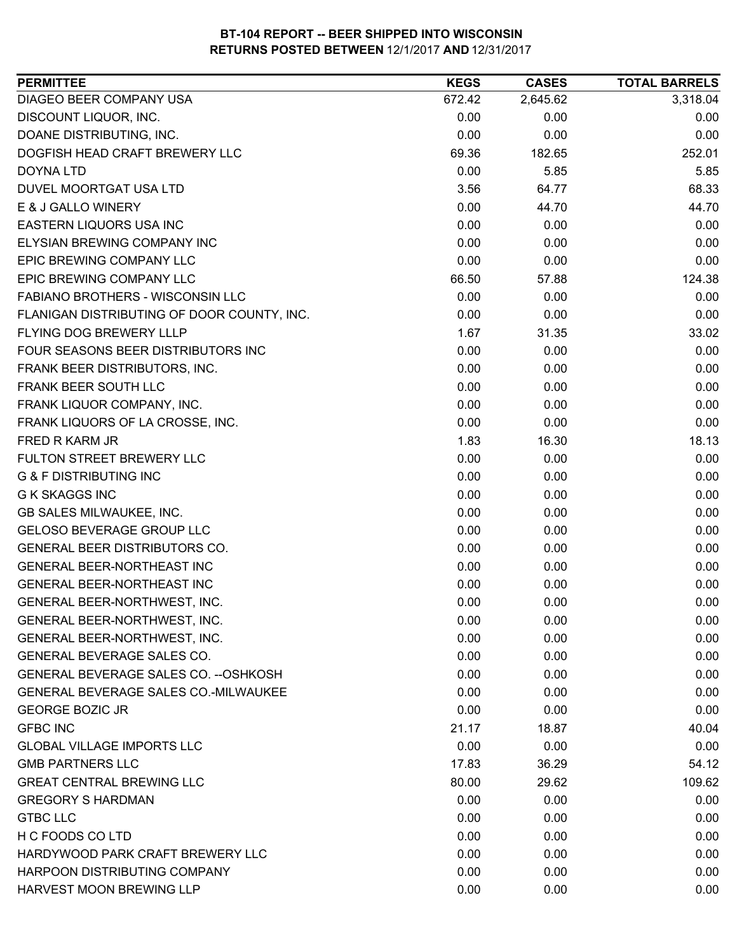| DIAGEO BEER COMPANY USA<br>2,645.62<br>3,318.04<br>672.42<br>DISCOUNT LIQUOR, INC.<br>0.00<br>0.00<br>0.00<br>DOANE DISTRIBUTING, INC.<br>0.00<br>0.00<br>0.00<br>252.01<br>DOGFISH HEAD CRAFT BREWERY LLC<br>69.36<br>182.65<br>0.00<br>5.85<br>5.85<br><b>DOYNA LTD</b><br>DUVEL MOORTGAT USA LTD<br>3.56<br>68.33<br>64.77<br>E & J GALLO WINERY<br>0.00<br>44.70<br>44.70<br><b>EASTERN LIQUORS USA INC</b><br>0.00<br>0.00<br>0.00<br>0.00<br>ELYSIAN BREWING COMPANY INC<br>0.00<br>0.00<br>EPIC BREWING COMPANY LLC<br>0.00<br>0.00<br>0.00<br>EPIC BREWING COMPANY LLC<br>124.38<br>66.50<br>57.88<br>FABIANO BROTHERS - WISCONSIN LLC<br>0.00<br>0.00<br>0.00<br>FLANIGAN DISTRIBUTING OF DOOR COUNTY, INC.<br>0.00<br>0.00<br>0.00<br><b>FLYING DOG BREWERY LLLP</b><br>1.67<br>33.02<br>31.35<br>FOUR SEASONS BEER DISTRIBUTORS INC<br>0.00<br>0.00<br>0.00<br>0.00<br>0.00<br>0.00<br>FRANK BEER DISTRIBUTORS, INC.<br>FRANK BEER SOUTH LLC<br>0.00<br>0.00<br>0.00<br>FRANK LIQUOR COMPANY, INC.<br>0.00<br>0.00<br>0.00<br>FRANK LIQUORS OF LA CROSSE, INC.<br>0.00<br>0.00<br>0.00<br>FRED R KARM JR<br>1.83<br>16.30<br>18.13<br>0.00<br>FULTON STREET BREWERY LLC<br>0.00<br>0.00<br><b>G &amp; F DISTRIBUTING INC</b><br>0.00<br>0.00<br>0.00<br><b>G K SKAGGS INC</b><br>0.00<br>0.00<br>0.00<br>GB SALES MILWAUKEE, INC.<br>0.00<br>0.00<br>0.00<br>0.00<br>GELOSO BEVERAGE GROUP LLC<br>0.00<br>0.00<br>GENERAL BEER DISTRIBUTORS CO.<br>0.00<br>0.00<br>0.00<br>GENERAL BEER-NORTHEAST INC<br>0.00<br>0.00<br>0.00<br>GENERAL BEER-NORTHEAST INC<br>0.00<br>0.00<br>0.00<br>0.00<br>0.00<br>0.00<br>GENERAL BEER-NORTHWEST, INC.<br>GENERAL BEER-NORTHWEST, INC.<br>0.00<br>0.00<br>0.00<br>0.00<br>0.00<br>0.00<br>GENERAL BEER-NORTHWEST, INC.<br>GENERAL BEVERAGE SALES CO.<br>0.00<br>0.00<br>0.00<br>GENERAL BEVERAGE SALES CO. -- OSHKOSH<br>0.00<br>0.00<br>0.00<br>GENERAL BEVERAGE SALES CO.-MILWAUKEE<br>0.00<br>0.00<br>0.00<br><b>GEORGE BOZIC JR</b><br>0.00<br>0.00<br>0.00<br><b>GFBC INC</b><br>21.17<br>18.87<br>40.04<br>0.00<br>0.00<br><b>GLOBAL VILLAGE IMPORTS LLC</b><br>0.00<br><b>GMB PARTNERS LLC</b><br>17.83<br>36.29<br>54.12<br><b>GREAT CENTRAL BREWING LLC</b><br>80.00<br>109.62<br>29.62<br><b>GREGORY S HARDMAN</b><br>0.00<br>0.00<br>0.00<br><b>GTBC LLC</b><br>0.00<br>0.00<br>0.00<br>H C FOODS CO LTD<br>0.00<br>0.00<br>0.00<br>HARDYWOOD PARK CRAFT BREWERY LLC<br>0.00<br>0.00<br>0.00<br>HARPOON DISTRIBUTING COMPANY<br>0.00<br>0.00<br>0.00<br>HARVEST MOON BREWING LLP<br>0.00<br>0.00<br>0.00 | <b>PERMITTEE</b> | <b>KEGS</b> | <b>CASES</b> | <b>TOTAL BARRELS</b> |
|---------------------------------------------------------------------------------------------------------------------------------------------------------------------------------------------------------------------------------------------------------------------------------------------------------------------------------------------------------------------------------------------------------------------------------------------------------------------------------------------------------------------------------------------------------------------------------------------------------------------------------------------------------------------------------------------------------------------------------------------------------------------------------------------------------------------------------------------------------------------------------------------------------------------------------------------------------------------------------------------------------------------------------------------------------------------------------------------------------------------------------------------------------------------------------------------------------------------------------------------------------------------------------------------------------------------------------------------------------------------------------------------------------------------------------------------------------------------------------------------------------------------------------------------------------------------------------------------------------------------------------------------------------------------------------------------------------------------------------------------------------------------------------------------------------------------------------------------------------------------------------------------------------------------------------------------------------------------------------------------------------------------------------------------------------------------------------------------------------------------------------------------------------------------------------------------------------------------------------------------------------------------------------------------------------------------------------------------------------------------------------------------------------------------------------------------------------------------------------------------------------------------------------------------------------------------|------------------|-------------|--------------|----------------------|
|                                                                                                                                                                                                                                                                                                                                                                                                                                                                                                                                                                                                                                                                                                                                                                                                                                                                                                                                                                                                                                                                                                                                                                                                                                                                                                                                                                                                                                                                                                                                                                                                                                                                                                                                                                                                                                                                                                                                                                                                                                                                                                                                                                                                                                                                                                                                                                                                                                                                                                                                                                     |                  |             |              |                      |
|                                                                                                                                                                                                                                                                                                                                                                                                                                                                                                                                                                                                                                                                                                                                                                                                                                                                                                                                                                                                                                                                                                                                                                                                                                                                                                                                                                                                                                                                                                                                                                                                                                                                                                                                                                                                                                                                                                                                                                                                                                                                                                                                                                                                                                                                                                                                                                                                                                                                                                                                                                     |                  |             |              |                      |
|                                                                                                                                                                                                                                                                                                                                                                                                                                                                                                                                                                                                                                                                                                                                                                                                                                                                                                                                                                                                                                                                                                                                                                                                                                                                                                                                                                                                                                                                                                                                                                                                                                                                                                                                                                                                                                                                                                                                                                                                                                                                                                                                                                                                                                                                                                                                                                                                                                                                                                                                                                     |                  |             |              |                      |
|                                                                                                                                                                                                                                                                                                                                                                                                                                                                                                                                                                                                                                                                                                                                                                                                                                                                                                                                                                                                                                                                                                                                                                                                                                                                                                                                                                                                                                                                                                                                                                                                                                                                                                                                                                                                                                                                                                                                                                                                                                                                                                                                                                                                                                                                                                                                                                                                                                                                                                                                                                     |                  |             |              |                      |
|                                                                                                                                                                                                                                                                                                                                                                                                                                                                                                                                                                                                                                                                                                                                                                                                                                                                                                                                                                                                                                                                                                                                                                                                                                                                                                                                                                                                                                                                                                                                                                                                                                                                                                                                                                                                                                                                                                                                                                                                                                                                                                                                                                                                                                                                                                                                                                                                                                                                                                                                                                     |                  |             |              |                      |
|                                                                                                                                                                                                                                                                                                                                                                                                                                                                                                                                                                                                                                                                                                                                                                                                                                                                                                                                                                                                                                                                                                                                                                                                                                                                                                                                                                                                                                                                                                                                                                                                                                                                                                                                                                                                                                                                                                                                                                                                                                                                                                                                                                                                                                                                                                                                                                                                                                                                                                                                                                     |                  |             |              |                      |
|                                                                                                                                                                                                                                                                                                                                                                                                                                                                                                                                                                                                                                                                                                                                                                                                                                                                                                                                                                                                                                                                                                                                                                                                                                                                                                                                                                                                                                                                                                                                                                                                                                                                                                                                                                                                                                                                                                                                                                                                                                                                                                                                                                                                                                                                                                                                                                                                                                                                                                                                                                     |                  |             |              |                      |
|                                                                                                                                                                                                                                                                                                                                                                                                                                                                                                                                                                                                                                                                                                                                                                                                                                                                                                                                                                                                                                                                                                                                                                                                                                                                                                                                                                                                                                                                                                                                                                                                                                                                                                                                                                                                                                                                                                                                                                                                                                                                                                                                                                                                                                                                                                                                                                                                                                                                                                                                                                     |                  |             |              |                      |
|                                                                                                                                                                                                                                                                                                                                                                                                                                                                                                                                                                                                                                                                                                                                                                                                                                                                                                                                                                                                                                                                                                                                                                                                                                                                                                                                                                                                                                                                                                                                                                                                                                                                                                                                                                                                                                                                                                                                                                                                                                                                                                                                                                                                                                                                                                                                                                                                                                                                                                                                                                     |                  |             |              |                      |
|                                                                                                                                                                                                                                                                                                                                                                                                                                                                                                                                                                                                                                                                                                                                                                                                                                                                                                                                                                                                                                                                                                                                                                                                                                                                                                                                                                                                                                                                                                                                                                                                                                                                                                                                                                                                                                                                                                                                                                                                                                                                                                                                                                                                                                                                                                                                                                                                                                                                                                                                                                     |                  |             |              |                      |
|                                                                                                                                                                                                                                                                                                                                                                                                                                                                                                                                                                                                                                                                                                                                                                                                                                                                                                                                                                                                                                                                                                                                                                                                                                                                                                                                                                                                                                                                                                                                                                                                                                                                                                                                                                                                                                                                                                                                                                                                                                                                                                                                                                                                                                                                                                                                                                                                                                                                                                                                                                     |                  |             |              |                      |
|                                                                                                                                                                                                                                                                                                                                                                                                                                                                                                                                                                                                                                                                                                                                                                                                                                                                                                                                                                                                                                                                                                                                                                                                                                                                                                                                                                                                                                                                                                                                                                                                                                                                                                                                                                                                                                                                                                                                                                                                                                                                                                                                                                                                                                                                                                                                                                                                                                                                                                                                                                     |                  |             |              |                      |
|                                                                                                                                                                                                                                                                                                                                                                                                                                                                                                                                                                                                                                                                                                                                                                                                                                                                                                                                                                                                                                                                                                                                                                                                                                                                                                                                                                                                                                                                                                                                                                                                                                                                                                                                                                                                                                                                                                                                                                                                                                                                                                                                                                                                                                                                                                                                                                                                                                                                                                                                                                     |                  |             |              |                      |
|                                                                                                                                                                                                                                                                                                                                                                                                                                                                                                                                                                                                                                                                                                                                                                                                                                                                                                                                                                                                                                                                                                                                                                                                                                                                                                                                                                                                                                                                                                                                                                                                                                                                                                                                                                                                                                                                                                                                                                                                                                                                                                                                                                                                                                                                                                                                                                                                                                                                                                                                                                     |                  |             |              |                      |
|                                                                                                                                                                                                                                                                                                                                                                                                                                                                                                                                                                                                                                                                                                                                                                                                                                                                                                                                                                                                                                                                                                                                                                                                                                                                                                                                                                                                                                                                                                                                                                                                                                                                                                                                                                                                                                                                                                                                                                                                                                                                                                                                                                                                                                                                                                                                                                                                                                                                                                                                                                     |                  |             |              |                      |
|                                                                                                                                                                                                                                                                                                                                                                                                                                                                                                                                                                                                                                                                                                                                                                                                                                                                                                                                                                                                                                                                                                                                                                                                                                                                                                                                                                                                                                                                                                                                                                                                                                                                                                                                                                                                                                                                                                                                                                                                                                                                                                                                                                                                                                                                                                                                                                                                                                                                                                                                                                     |                  |             |              |                      |
|                                                                                                                                                                                                                                                                                                                                                                                                                                                                                                                                                                                                                                                                                                                                                                                                                                                                                                                                                                                                                                                                                                                                                                                                                                                                                                                                                                                                                                                                                                                                                                                                                                                                                                                                                                                                                                                                                                                                                                                                                                                                                                                                                                                                                                                                                                                                                                                                                                                                                                                                                                     |                  |             |              |                      |
|                                                                                                                                                                                                                                                                                                                                                                                                                                                                                                                                                                                                                                                                                                                                                                                                                                                                                                                                                                                                                                                                                                                                                                                                                                                                                                                                                                                                                                                                                                                                                                                                                                                                                                                                                                                                                                                                                                                                                                                                                                                                                                                                                                                                                                                                                                                                                                                                                                                                                                                                                                     |                  |             |              |                      |
|                                                                                                                                                                                                                                                                                                                                                                                                                                                                                                                                                                                                                                                                                                                                                                                                                                                                                                                                                                                                                                                                                                                                                                                                                                                                                                                                                                                                                                                                                                                                                                                                                                                                                                                                                                                                                                                                                                                                                                                                                                                                                                                                                                                                                                                                                                                                                                                                                                                                                                                                                                     |                  |             |              |                      |
|                                                                                                                                                                                                                                                                                                                                                                                                                                                                                                                                                                                                                                                                                                                                                                                                                                                                                                                                                                                                                                                                                                                                                                                                                                                                                                                                                                                                                                                                                                                                                                                                                                                                                                                                                                                                                                                                                                                                                                                                                                                                                                                                                                                                                                                                                                                                                                                                                                                                                                                                                                     |                  |             |              |                      |
|                                                                                                                                                                                                                                                                                                                                                                                                                                                                                                                                                                                                                                                                                                                                                                                                                                                                                                                                                                                                                                                                                                                                                                                                                                                                                                                                                                                                                                                                                                                                                                                                                                                                                                                                                                                                                                                                                                                                                                                                                                                                                                                                                                                                                                                                                                                                                                                                                                                                                                                                                                     |                  |             |              |                      |
|                                                                                                                                                                                                                                                                                                                                                                                                                                                                                                                                                                                                                                                                                                                                                                                                                                                                                                                                                                                                                                                                                                                                                                                                                                                                                                                                                                                                                                                                                                                                                                                                                                                                                                                                                                                                                                                                                                                                                                                                                                                                                                                                                                                                                                                                                                                                                                                                                                                                                                                                                                     |                  |             |              |                      |
|                                                                                                                                                                                                                                                                                                                                                                                                                                                                                                                                                                                                                                                                                                                                                                                                                                                                                                                                                                                                                                                                                                                                                                                                                                                                                                                                                                                                                                                                                                                                                                                                                                                                                                                                                                                                                                                                                                                                                                                                                                                                                                                                                                                                                                                                                                                                                                                                                                                                                                                                                                     |                  |             |              |                      |
|                                                                                                                                                                                                                                                                                                                                                                                                                                                                                                                                                                                                                                                                                                                                                                                                                                                                                                                                                                                                                                                                                                                                                                                                                                                                                                                                                                                                                                                                                                                                                                                                                                                                                                                                                                                                                                                                                                                                                                                                                                                                                                                                                                                                                                                                                                                                                                                                                                                                                                                                                                     |                  |             |              |                      |
|                                                                                                                                                                                                                                                                                                                                                                                                                                                                                                                                                                                                                                                                                                                                                                                                                                                                                                                                                                                                                                                                                                                                                                                                                                                                                                                                                                                                                                                                                                                                                                                                                                                                                                                                                                                                                                                                                                                                                                                                                                                                                                                                                                                                                                                                                                                                                                                                                                                                                                                                                                     |                  |             |              |                      |
|                                                                                                                                                                                                                                                                                                                                                                                                                                                                                                                                                                                                                                                                                                                                                                                                                                                                                                                                                                                                                                                                                                                                                                                                                                                                                                                                                                                                                                                                                                                                                                                                                                                                                                                                                                                                                                                                                                                                                                                                                                                                                                                                                                                                                                                                                                                                                                                                                                                                                                                                                                     |                  |             |              |                      |
|                                                                                                                                                                                                                                                                                                                                                                                                                                                                                                                                                                                                                                                                                                                                                                                                                                                                                                                                                                                                                                                                                                                                                                                                                                                                                                                                                                                                                                                                                                                                                                                                                                                                                                                                                                                                                                                                                                                                                                                                                                                                                                                                                                                                                                                                                                                                                                                                                                                                                                                                                                     |                  |             |              |                      |
|                                                                                                                                                                                                                                                                                                                                                                                                                                                                                                                                                                                                                                                                                                                                                                                                                                                                                                                                                                                                                                                                                                                                                                                                                                                                                                                                                                                                                                                                                                                                                                                                                                                                                                                                                                                                                                                                                                                                                                                                                                                                                                                                                                                                                                                                                                                                                                                                                                                                                                                                                                     |                  |             |              |                      |
|                                                                                                                                                                                                                                                                                                                                                                                                                                                                                                                                                                                                                                                                                                                                                                                                                                                                                                                                                                                                                                                                                                                                                                                                                                                                                                                                                                                                                                                                                                                                                                                                                                                                                                                                                                                                                                                                                                                                                                                                                                                                                                                                                                                                                                                                                                                                                                                                                                                                                                                                                                     |                  |             |              |                      |
|                                                                                                                                                                                                                                                                                                                                                                                                                                                                                                                                                                                                                                                                                                                                                                                                                                                                                                                                                                                                                                                                                                                                                                                                                                                                                                                                                                                                                                                                                                                                                                                                                                                                                                                                                                                                                                                                                                                                                                                                                                                                                                                                                                                                                                                                                                                                                                                                                                                                                                                                                                     |                  |             |              |                      |
|                                                                                                                                                                                                                                                                                                                                                                                                                                                                                                                                                                                                                                                                                                                                                                                                                                                                                                                                                                                                                                                                                                                                                                                                                                                                                                                                                                                                                                                                                                                                                                                                                                                                                                                                                                                                                                                                                                                                                                                                                                                                                                                                                                                                                                                                                                                                                                                                                                                                                                                                                                     |                  |             |              |                      |
|                                                                                                                                                                                                                                                                                                                                                                                                                                                                                                                                                                                                                                                                                                                                                                                                                                                                                                                                                                                                                                                                                                                                                                                                                                                                                                                                                                                                                                                                                                                                                                                                                                                                                                                                                                                                                                                                                                                                                                                                                                                                                                                                                                                                                                                                                                                                                                                                                                                                                                                                                                     |                  |             |              |                      |
|                                                                                                                                                                                                                                                                                                                                                                                                                                                                                                                                                                                                                                                                                                                                                                                                                                                                                                                                                                                                                                                                                                                                                                                                                                                                                                                                                                                                                                                                                                                                                                                                                                                                                                                                                                                                                                                                                                                                                                                                                                                                                                                                                                                                                                                                                                                                                                                                                                                                                                                                                                     |                  |             |              |                      |
|                                                                                                                                                                                                                                                                                                                                                                                                                                                                                                                                                                                                                                                                                                                                                                                                                                                                                                                                                                                                                                                                                                                                                                                                                                                                                                                                                                                                                                                                                                                                                                                                                                                                                                                                                                                                                                                                                                                                                                                                                                                                                                                                                                                                                                                                                                                                                                                                                                                                                                                                                                     |                  |             |              |                      |
|                                                                                                                                                                                                                                                                                                                                                                                                                                                                                                                                                                                                                                                                                                                                                                                                                                                                                                                                                                                                                                                                                                                                                                                                                                                                                                                                                                                                                                                                                                                                                                                                                                                                                                                                                                                                                                                                                                                                                                                                                                                                                                                                                                                                                                                                                                                                                                                                                                                                                                                                                                     |                  |             |              |                      |
|                                                                                                                                                                                                                                                                                                                                                                                                                                                                                                                                                                                                                                                                                                                                                                                                                                                                                                                                                                                                                                                                                                                                                                                                                                                                                                                                                                                                                                                                                                                                                                                                                                                                                                                                                                                                                                                                                                                                                                                                                                                                                                                                                                                                                                                                                                                                                                                                                                                                                                                                                                     |                  |             |              |                      |
|                                                                                                                                                                                                                                                                                                                                                                                                                                                                                                                                                                                                                                                                                                                                                                                                                                                                                                                                                                                                                                                                                                                                                                                                                                                                                                                                                                                                                                                                                                                                                                                                                                                                                                                                                                                                                                                                                                                                                                                                                                                                                                                                                                                                                                                                                                                                                                                                                                                                                                                                                                     |                  |             |              |                      |
|                                                                                                                                                                                                                                                                                                                                                                                                                                                                                                                                                                                                                                                                                                                                                                                                                                                                                                                                                                                                                                                                                                                                                                                                                                                                                                                                                                                                                                                                                                                                                                                                                                                                                                                                                                                                                                                                                                                                                                                                                                                                                                                                                                                                                                                                                                                                                                                                                                                                                                                                                                     |                  |             |              |                      |
|                                                                                                                                                                                                                                                                                                                                                                                                                                                                                                                                                                                                                                                                                                                                                                                                                                                                                                                                                                                                                                                                                                                                                                                                                                                                                                                                                                                                                                                                                                                                                                                                                                                                                                                                                                                                                                                                                                                                                                                                                                                                                                                                                                                                                                                                                                                                                                                                                                                                                                                                                                     |                  |             |              |                      |
|                                                                                                                                                                                                                                                                                                                                                                                                                                                                                                                                                                                                                                                                                                                                                                                                                                                                                                                                                                                                                                                                                                                                                                                                                                                                                                                                                                                                                                                                                                                                                                                                                                                                                                                                                                                                                                                                                                                                                                                                                                                                                                                                                                                                                                                                                                                                                                                                                                                                                                                                                                     |                  |             |              |                      |
|                                                                                                                                                                                                                                                                                                                                                                                                                                                                                                                                                                                                                                                                                                                                                                                                                                                                                                                                                                                                                                                                                                                                                                                                                                                                                                                                                                                                                                                                                                                                                                                                                                                                                                                                                                                                                                                                                                                                                                                                                                                                                                                                                                                                                                                                                                                                                                                                                                                                                                                                                                     |                  |             |              |                      |
|                                                                                                                                                                                                                                                                                                                                                                                                                                                                                                                                                                                                                                                                                                                                                                                                                                                                                                                                                                                                                                                                                                                                                                                                                                                                                                                                                                                                                                                                                                                                                                                                                                                                                                                                                                                                                                                                                                                                                                                                                                                                                                                                                                                                                                                                                                                                                                                                                                                                                                                                                                     |                  |             |              |                      |
|                                                                                                                                                                                                                                                                                                                                                                                                                                                                                                                                                                                                                                                                                                                                                                                                                                                                                                                                                                                                                                                                                                                                                                                                                                                                                                                                                                                                                                                                                                                                                                                                                                                                                                                                                                                                                                                                                                                                                                                                                                                                                                                                                                                                                                                                                                                                                                                                                                                                                                                                                                     |                  |             |              |                      |
|                                                                                                                                                                                                                                                                                                                                                                                                                                                                                                                                                                                                                                                                                                                                                                                                                                                                                                                                                                                                                                                                                                                                                                                                                                                                                                                                                                                                                                                                                                                                                                                                                                                                                                                                                                                                                                                                                                                                                                                                                                                                                                                                                                                                                                                                                                                                                                                                                                                                                                                                                                     |                  |             |              |                      |
|                                                                                                                                                                                                                                                                                                                                                                                                                                                                                                                                                                                                                                                                                                                                                                                                                                                                                                                                                                                                                                                                                                                                                                                                                                                                                                                                                                                                                                                                                                                                                                                                                                                                                                                                                                                                                                                                                                                                                                                                                                                                                                                                                                                                                                                                                                                                                                                                                                                                                                                                                                     |                  |             |              |                      |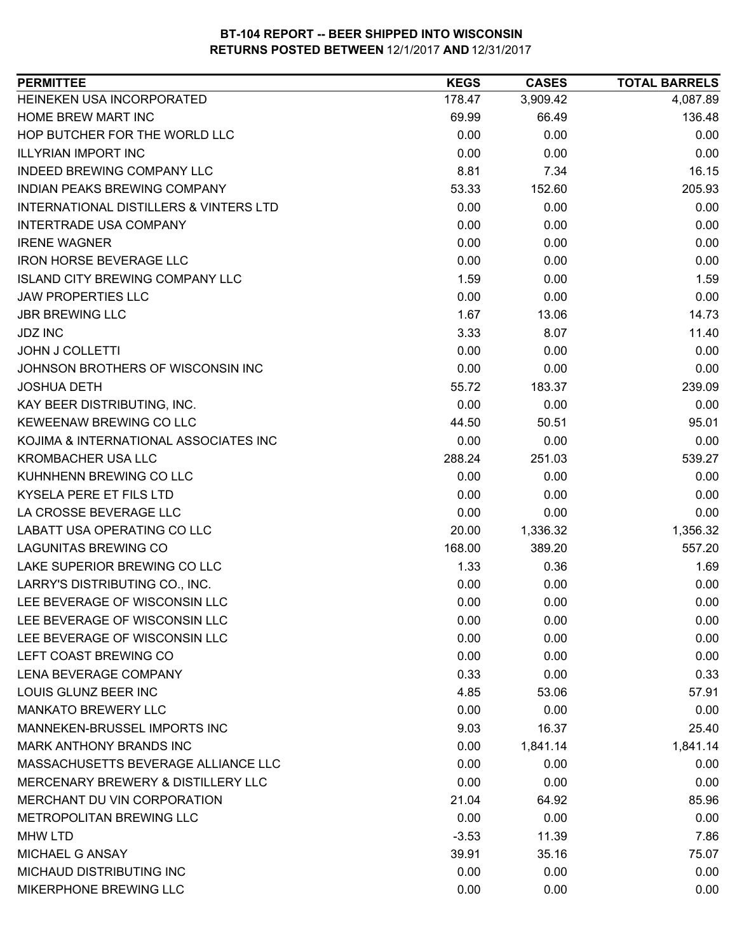| <b>PERMITTEE</b>                                  | <b>KEGS</b> | <b>CASES</b> | <b>TOTAL BARRELS</b> |
|---------------------------------------------------|-------------|--------------|----------------------|
| HEINEKEN USA INCORPORATED                         | 178.47      | 3,909.42     | 4,087.89             |
| <b>HOME BREW MART INC</b>                         | 69.99       | 66.49        | 136.48               |
| HOP BUTCHER FOR THE WORLD LLC                     | 0.00        | 0.00         | 0.00                 |
| <b>ILLYRIAN IMPORT INC.</b>                       | 0.00        | 0.00         | 0.00                 |
| <b>INDEED BREWING COMPANY LLC</b>                 | 8.81        | 7.34         | 16.15                |
| INDIAN PEAKS BREWING COMPANY                      | 53.33       | 152.60       | 205.93               |
| <b>INTERNATIONAL DISTILLERS &amp; VINTERS LTD</b> | 0.00        | 0.00         | 0.00                 |
| <b>INTERTRADE USA COMPANY</b>                     | 0.00        | 0.00         | 0.00                 |
| <b>IRENE WAGNER</b>                               | 0.00        | 0.00         | 0.00                 |
| <b>IRON HORSE BEVERAGE LLC</b>                    | 0.00        | 0.00         | 0.00                 |
| <b>ISLAND CITY BREWING COMPANY LLC</b>            | 1.59        | 0.00         | 1.59                 |
| <b>JAW PROPERTIES LLC</b>                         | 0.00        | 0.00         | 0.00                 |
| <b>JBR BREWING LLC</b>                            | 1.67        | 13.06        | 14.73                |
| <b>JDZ INC</b>                                    | 3.33        | 8.07         | 11.40                |
| <b>JOHN J COLLETTI</b>                            | 0.00        | 0.00         | 0.00                 |
| JOHNSON BROTHERS OF WISCONSIN INC                 | 0.00        | 0.00         | 0.00                 |
| <b>JOSHUA DETH</b>                                | 55.72       | 183.37       | 239.09               |
| KAY BEER DISTRIBUTING, INC.                       | 0.00        | 0.00         | 0.00                 |
| KEWEENAW BREWING CO LLC                           | 44.50       | 50.51        | 95.01                |
| KOJIMA & INTERNATIONAL ASSOCIATES INC             | 0.00        | 0.00         | 0.00                 |
| <b>KROMBACHER USA LLC</b>                         | 288.24      | 251.03       | 539.27               |
| KUHNHENN BREWING CO LLC                           | 0.00        | 0.00         | 0.00                 |
| KYSELA PERE ET FILS LTD                           | 0.00        | 0.00         | 0.00                 |
| LA CROSSE BEVERAGE LLC                            | 0.00        | 0.00         | 0.00                 |
| LABATT USA OPERATING CO LLC                       | 20.00       | 1,336.32     | 1,356.32             |
| <b>LAGUNITAS BREWING CO</b>                       | 168.00      | 389.20       | 557.20               |
| LAKE SUPERIOR BREWING CO LLC                      | 1.33        | 0.36         | 1.69                 |
| LARRY'S DISTRIBUTING CO., INC.                    | 0.00        | 0.00         | 0.00                 |
| LEE BEVERAGE OF WISCONSIN LLC                     | 0.00        | 0.00         | 0.00                 |
| LEE BEVERAGE OF WISCONSIN LLC                     | 0.00        | 0.00         | 0.00                 |
| LEE BEVERAGE OF WISCONSIN LLC                     | 0.00        | 0.00         | 0.00                 |
| LEFT COAST BREWING CO                             | 0.00        | 0.00         | 0.00                 |
| <b>LENA BEVERAGE COMPANY</b>                      | 0.33        | 0.00         | 0.33                 |
| LOUIS GLUNZ BEER INC                              | 4.85        | 53.06        | 57.91                |
| <b>MANKATO BREWERY LLC</b>                        | 0.00        | 0.00         | 0.00                 |
| MANNEKEN-BRUSSEL IMPORTS INC                      | 9.03        | 16.37        | 25.40                |
| MARK ANTHONY BRANDS INC                           | 0.00        | 1,841.14     | 1,841.14             |
| MASSACHUSETTS BEVERAGE ALLIANCE LLC               | 0.00        | 0.00         | 0.00                 |
| MERCENARY BREWERY & DISTILLERY LLC                | 0.00        | 0.00         | 0.00                 |
| MERCHANT DU VIN CORPORATION                       | 21.04       | 64.92        | 85.96                |
| METROPOLITAN BREWING LLC                          | 0.00        | 0.00         | 0.00                 |
| <b>MHW LTD</b>                                    | $-3.53$     | 11.39        | 7.86                 |
| MICHAEL G ANSAY                                   | 39.91       | 35.16        | 75.07                |
| MICHAUD DISTRIBUTING INC                          | 0.00        | 0.00         | 0.00                 |
| MIKERPHONE BREWING LLC                            | 0.00        | 0.00         | 0.00                 |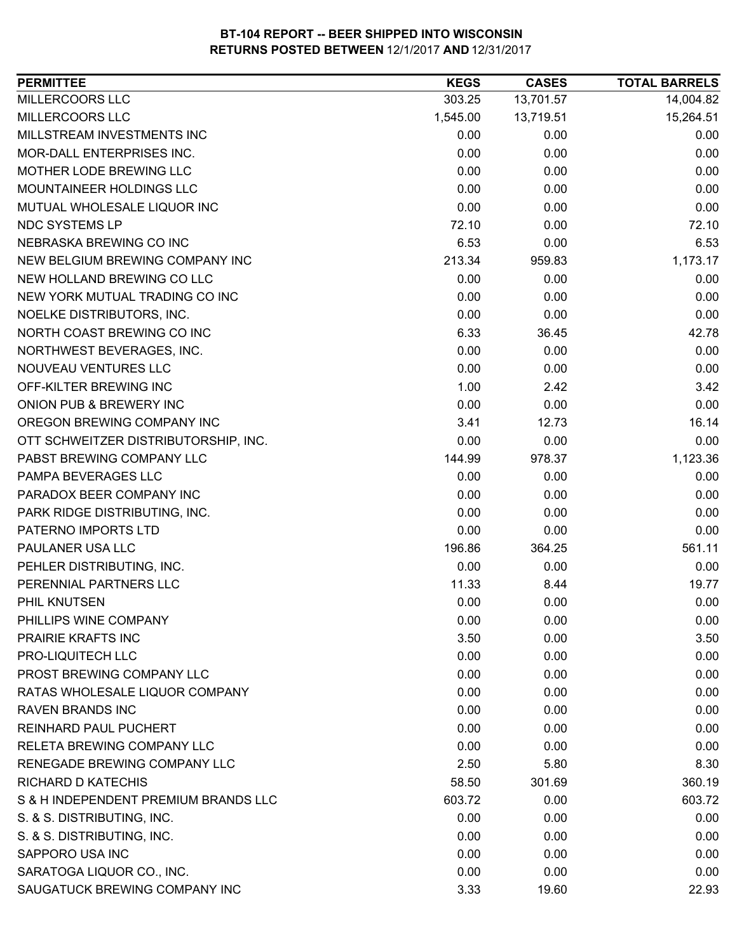| <b>PERMITTEE</b>                     | <b>KEGS</b> | <b>CASES</b> | <b>TOTAL BARRELS</b> |
|--------------------------------------|-------------|--------------|----------------------|
| MILLERCOORS LLC                      | 303.25      | 13,701.57    | 14,004.82            |
| MILLERCOORS LLC                      | 1,545.00    | 13,719.51    | 15,264.51            |
| MILLSTREAM INVESTMENTS INC           | 0.00        | 0.00         | 0.00                 |
| <b>MOR-DALL ENTERPRISES INC.</b>     | 0.00        | 0.00         | 0.00                 |
| MOTHER LODE BREWING LLC              | 0.00        | 0.00         | 0.00                 |
| MOUNTAINEER HOLDINGS LLC             | 0.00        | 0.00         | 0.00                 |
| MUTUAL WHOLESALE LIQUOR INC          | 0.00        | 0.00         | 0.00                 |
| NDC SYSTEMS LP                       | 72.10       | 0.00         | 72.10                |
| NEBRASKA BREWING CO INC              | 6.53        | 0.00         | 6.53                 |
| NEW BELGIUM BREWING COMPANY INC      | 213.34      | 959.83       | 1,173.17             |
| NEW HOLLAND BREWING CO LLC           | 0.00        | 0.00         | 0.00                 |
| NEW YORK MUTUAL TRADING CO INC       | 0.00        | 0.00         | 0.00                 |
| NOELKE DISTRIBUTORS, INC.            | 0.00        | 0.00         | 0.00                 |
| NORTH COAST BREWING CO INC           | 6.33        | 36.45        | 42.78                |
| NORTHWEST BEVERAGES, INC.            | 0.00        | 0.00         | 0.00                 |
| <b>NOUVEAU VENTURES LLC</b>          | 0.00        | 0.00         | 0.00                 |
| OFF-KILTER BREWING INC               | 1.00        | 2.42         | 3.42                 |
| ONION PUB & BREWERY INC              | 0.00        | 0.00         | 0.00                 |
| OREGON BREWING COMPANY INC           | 3.41        | 12.73        | 16.14                |
| OTT SCHWEITZER DISTRIBUTORSHIP, INC. | 0.00        | 0.00         | 0.00                 |
| PABST BREWING COMPANY LLC            | 144.99      | 978.37       | 1,123.36             |
| PAMPA BEVERAGES LLC                  | 0.00        | 0.00         | 0.00                 |
| PARADOX BEER COMPANY INC             | 0.00        | 0.00         | 0.00                 |
| PARK RIDGE DISTRIBUTING, INC.        | 0.00        | 0.00         | 0.00                 |
| PATERNO IMPORTS LTD                  | 0.00        | 0.00         | 0.00                 |
| PAULANER USA LLC                     | 196.86      | 364.25       | 561.11               |
| PEHLER DISTRIBUTING, INC.            | 0.00        | 0.00         | 0.00                 |
| PERENNIAL PARTNERS LLC               | 11.33       | 8.44         | 19.77                |
| PHIL KNUTSEN                         | 0.00        | 0.00         | 0.00                 |
| PHILLIPS WINE COMPANY                | 0.00        | 0.00         | 0.00                 |
| PRAIRIE KRAFTS INC                   | 3.50        | 0.00         | 3.50                 |
| PRO-LIQUITECH LLC                    | 0.00        | 0.00         | 0.00                 |
| PROST BREWING COMPANY LLC            | 0.00        | 0.00         | 0.00                 |
| RATAS WHOLESALE LIQUOR COMPANY       | 0.00        | 0.00         | 0.00                 |
| <b>RAVEN BRANDS INC</b>              | 0.00        | 0.00         | 0.00                 |
| <b>REINHARD PAUL PUCHERT</b>         | 0.00        | 0.00         | 0.00                 |
| RELETA BREWING COMPANY LLC           | 0.00        | 0.00         | 0.00                 |
| RENEGADE BREWING COMPANY LLC         | 2.50        | 5.80         | 8.30                 |
| <b>RICHARD D KATECHIS</b>            | 58.50       | 301.69       | 360.19               |
| S & H INDEPENDENT PREMIUM BRANDS LLC | 603.72      | 0.00         | 603.72               |
| S. & S. DISTRIBUTING, INC.           | 0.00        | 0.00         | 0.00                 |
| S. & S. DISTRIBUTING, INC.           | 0.00        | 0.00         | 0.00                 |
| SAPPORO USA INC                      | 0.00        | 0.00         | 0.00                 |
| SARATOGA LIQUOR CO., INC.            | 0.00        | 0.00         | 0.00                 |
| SAUGATUCK BREWING COMPANY INC        | 3.33        | 19.60        | 22.93                |
|                                      |             |              |                      |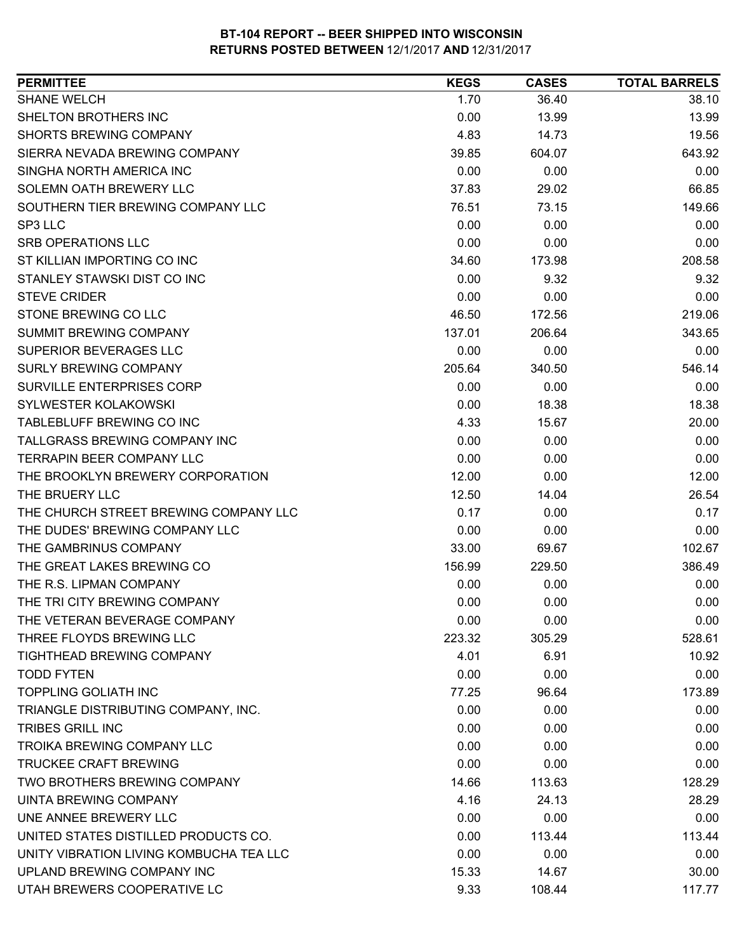| <b>SHANE WELCH</b><br>1.70<br>36.40<br>38.10<br>SHELTON BROTHERS INC<br>0.00<br>13.99<br>13.99<br>SHORTS BREWING COMPANY<br>4.83<br>14.73<br>19.56<br>643.92<br>SIERRA NEVADA BREWING COMPANY<br>39.85<br>604.07<br>SINGHA NORTH AMERICA INC<br>0.00<br>0.00<br>0.00<br>SOLEMN OATH BREWERY LLC<br>66.85<br>37.83<br>29.02<br>SOUTHERN TIER BREWING COMPANY LLC<br>76.51<br>73.15<br>149.66<br>SP3 LLC<br>0.00<br>0.00<br>0.00<br>0.00<br><b>SRB OPERATIONS LLC</b><br>0.00<br>0.00<br>ST KILLIAN IMPORTING CO INC<br>208.58<br>34.60<br>173.98<br>STANLEY STAWSKI DIST CO INC<br>0.00<br>9.32<br>9.32<br><b>STEVE CRIDER</b><br>0.00<br>0.00<br>0.00<br>STONE BREWING CO LLC<br>219.06<br>46.50<br>172.56<br>SUMMIT BREWING COMPANY<br>343.65<br>137.01<br>206.64<br>SUPERIOR BEVERAGES LLC<br>0.00<br>0.00<br>0.00<br><b>SURLY BREWING COMPANY</b><br>546.14<br>205.64<br>340.50<br>SURVILLE ENTERPRISES CORP<br>0.00<br>0.00<br>0.00<br>SYLWESTER KOLAKOWSKI<br>18.38<br>0.00<br>18.38<br>TABLEBLUFF BREWING CO INC<br>4.33<br>15.67<br>20.00<br>TALLGRASS BREWING COMPANY INC<br>0.00<br>0.00<br>0.00<br>TERRAPIN BEER COMPANY LLC<br>0.00<br>0.00<br>0.00<br>THE BROOKLYN BREWERY CORPORATION<br>12.00<br>0.00<br>12.00<br>THE BRUERY LLC<br>12.50<br>14.04<br>26.54<br>THE CHURCH STREET BREWING COMPANY LLC<br>0.17<br>0.00<br>0.17<br>THE DUDES' BREWING COMPANY LLC<br>0.00<br>0.00<br>0.00<br>THE GAMBRINUS COMPANY<br>33.00<br>102.67<br>69.67<br>THE GREAT LAKES BREWING CO<br>156.99<br>229.50<br>386.49<br>THE R.S. LIPMAN COMPANY<br>0.00<br>0.00<br>0.00<br>THE TRI CITY BREWING COMPANY<br>0.00<br>0.00<br>0.00<br>THE VETERAN BEVERAGE COMPANY<br>0.00<br>0.00<br>0.00<br>528.61<br>THREE FLOYDS BREWING LLC<br>223.32<br>305.29<br><b>TIGHTHEAD BREWING COMPANY</b><br>4.01<br>6.91<br>10.92<br><b>TODD FYTEN</b><br>0.00<br>0.00<br>0.00<br><b>TOPPLING GOLIATH INC</b><br>77.25<br>173.89<br>96.64<br>TRIANGLE DISTRIBUTING COMPANY, INC.<br>0.00<br>0.00<br>0.00<br><b>TRIBES GRILL INC</b><br>0.00<br>0.00<br>0.00<br>TROIKA BREWING COMPANY LLC<br>0.00<br>0.00<br>0.00<br><b>TRUCKEE CRAFT BREWING</b><br>0.00<br>0.00<br>0.00<br>TWO BROTHERS BREWING COMPANY<br>14.66<br>113.63<br>128.29<br>UINTA BREWING COMPANY<br>4.16<br>24.13<br>28.29<br>UNE ANNEE BREWERY LLC<br>0.00<br>0.00<br>0.00<br>UNITED STATES DISTILLED PRODUCTS CO.<br>0.00<br>113.44<br>113.44<br>UNITY VIBRATION LIVING KOMBUCHA TEA LLC<br>0.00<br>0.00<br>0.00<br>UPLAND BREWING COMPANY INC<br>15.33<br>14.67<br>30.00<br>UTAH BREWERS COOPERATIVE LC<br>117.77<br>9.33<br>108.44 | <b>PERMITTEE</b> | <b>KEGS</b> | <b>CASES</b> | <b>TOTAL BARRELS</b> |
|-------------------------------------------------------------------------------------------------------------------------------------------------------------------------------------------------------------------------------------------------------------------------------------------------------------------------------------------------------------------------------------------------------------------------------------------------------------------------------------------------------------------------------------------------------------------------------------------------------------------------------------------------------------------------------------------------------------------------------------------------------------------------------------------------------------------------------------------------------------------------------------------------------------------------------------------------------------------------------------------------------------------------------------------------------------------------------------------------------------------------------------------------------------------------------------------------------------------------------------------------------------------------------------------------------------------------------------------------------------------------------------------------------------------------------------------------------------------------------------------------------------------------------------------------------------------------------------------------------------------------------------------------------------------------------------------------------------------------------------------------------------------------------------------------------------------------------------------------------------------------------------------------------------------------------------------------------------------------------------------------------------------------------------------------------------------------------------------------------------------------------------------------------------------------------------------------------------------------------------------------------------------------------------------------------------------------------------------------------------------------------------------------------------------------------------------------------------------------------------------------------------------------------------------------------------------------------------|------------------|-------------|--------------|----------------------|
|                                                                                                                                                                                                                                                                                                                                                                                                                                                                                                                                                                                                                                                                                                                                                                                                                                                                                                                                                                                                                                                                                                                                                                                                                                                                                                                                                                                                                                                                                                                                                                                                                                                                                                                                                                                                                                                                                                                                                                                                                                                                                                                                                                                                                                                                                                                                                                                                                                                                                                                                                                                     |                  |             |              |                      |
|                                                                                                                                                                                                                                                                                                                                                                                                                                                                                                                                                                                                                                                                                                                                                                                                                                                                                                                                                                                                                                                                                                                                                                                                                                                                                                                                                                                                                                                                                                                                                                                                                                                                                                                                                                                                                                                                                                                                                                                                                                                                                                                                                                                                                                                                                                                                                                                                                                                                                                                                                                                     |                  |             |              |                      |
|                                                                                                                                                                                                                                                                                                                                                                                                                                                                                                                                                                                                                                                                                                                                                                                                                                                                                                                                                                                                                                                                                                                                                                                                                                                                                                                                                                                                                                                                                                                                                                                                                                                                                                                                                                                                                                                                                                                                                                                                                                                                                                                                                                                                                                                                                                                                                                                                                                                                                                                                                                                     |                  |             |              |                      |
|                                                                                                                                                                                                                                                                                                                                                                                                                                                                                                                                                                                                                                                                                                                                                                                                                                                                                                                                                                                                                                                                                                                                                                                                                                                                                                                                                                                                                                                                                                                                                                                                                                                                                                                                                                                                                                                                                                                                                                                                                                                                                                                                                                                                                                                                                                                                                                                                                                                                                                                                                                                     |                  |             |              |                      |
|                                                                                                                                                                                                                                                                                                                                                                                                                                                                                                                                                                                                                                                                                                                                                                                                                                                                                                                                                                                                                                                                                                                                                                                                                                                                                                                                                                                                                                                                                                                                                                                                                                                                                                                                                                                                                                                                                                                                                                                                                                                                                                                                                                                                                                                                                                                                                                                                                                                                                                                                                                                     |                  |             |              |                      |
|                                                                                                                                                                                                                                                                                                                                                                                                                                                                                                                                                                                                                                                                                                                                                                                                                                                                                                                                                                                                                                                                                                                                                                                                                                                                                                                                                                                                                                                                                                                                                                                                                                                                                                                                                                                                                                                                                                                                                                                                                                                                                                                                                                                                                                                                                                                                                                                                                                                                                                                                                                                     |                  |             |              |                      |
|                                                                                                                                                                                                                                                                                                                                                                                                                                                                                                                                                                                                                                                                                                                                                                                                                                                                                                                                                                                                                                                                                                                                                                                                                                                                                                                                                                                                                                                                                                                                                                                                                                                                                                                                                                                                                                                                                                                                                                                                                                                                                                                                                                                                                                                                                                                                                                                                                                                                                                                                                                                     |                  |             |              |                      |
|                                                                                                                                                                                                                                                                                                                                                                                                                                                                                                                                                                                                                                                                                                                                                                                                                                                                                                                                                                                                                                                                                                                                                                                                                                                                                                                                                                                                                                                                                                                                                                                                                                                                                                                                                                                                                                                                                                                                                                                                                                                                                                                                                                                                                                                                                                                                                                                                                                                                                                                                                                                     |                  |             |              |                      |
|                                                                                                                                                                                                                                                                                                                                                                                                                                                                                                                                                                                                                                                                                                                                                                                                                                                                                                                                                                                                                                                                                                                                                                                                                                                                                                                                                                                                                                                                                                                                                                                                                                                                                                                                                                                                                                                                                                                                                                                                                                                                                                                                                                                                                                                                                                                                                                                                                                                                                                                                                                                     |                  |             |              |                      |
|                                                                                                                                                                                                                                                                                                                                                                                                                                                                                                                                                                                                                                                                                                                                                                                                                                                                                                                                                                                                                                                                                                                                                                                                                                                                                                                                                                                                                                                                                                                                                                                                                                                                                                                                                                                                                                                                                                                                                                                                                                                                                                                                                                                                                                                                                                                                                                                                                                                                                                                                                                                     |                  |             |              |                      |
|                                                                                                                                                                                                                                                                                                                                                                                                                                                                                                                                                                                                                                                                                                                                                                                                                                                                                                                                                                                                                                                                                                                                                                                                                                                                                                                                                                                                                                                                                                                                                                                                                                                                                                                                                                                                                                                                                                                                                                                                                                                                                                                                                                                                                                                                                                                                                                                                                                                                                                                                                                                     |                  |             |              |                      |
|                                                                                                                                                                                                                                                                                                                                                                                                                                                                                                                                                                                                                                                                                                                                                                                                                                                                                                                                                                                                                                                                                                                                                                                                                                                                                                                                                                                                                                                                                                                                                                                                                                                                                                                                                                                                                                                                                                                                                                                                                                                                                                                                                                                                                                                                                                                                                                                                                                                                                                                                                                                     |                  |             |              |                      |
|                                                                                                                                                                                                                                                                                                                                                                                                                                                                                                                                                                                                                                                                                                                                                                                                                                                                                                                                                                                                                                                                                                                                                                                                                                                                                                                                                                                                                                                                                                                                                                                                                                                                                                                                                                                                                                                                                                                                                                                                                                                                                                                                                                                                                                                                                                                                                                                                                                                                                                                                                                                     |                  |             |              |                      |
|                                                                                                                                                                                                                                                                                                                                                                                                                                                                                                                                                                                                                                                                                                                                                                                                                                                                                                                                                                                                                                                                                                                                                                                                                                                                                                                                                                                                                                                                                                                                                                                                                                                                                                                                                                                                                                                                                                                                                                                                                                                                                                                                                                                                                                                                                                                                                                                                                                                                                                                                                                                     |                  |             |              |                      |
|                                                                                                                                                                                                                                                                                                                                                                                                                                                                                                                                                                                                                                                                                                                                                                                                                                                                                                                                                                                                                                                                                                                                                                                                                                                                                                                                                                                                                                                                                                                                                                                                                                                                                                                                                                                                                                                                                                                                                                                                                                                                                                                                                                                                                                                                                                                                                                                                                                                                                                                                                                                     |                  |             |              |                      |
|                                                                                                                                                                                                                                                                                                                                                                                                                                                                                                                                                                                                                                                                                                                                                                                                                                                                                                                                                                                                                                                                                                                                                                                                                                                                                                                                                                                                                                                                                                                                                                                                                                                                                                                                                                                                                                                                                                                                                                                                                                                                                                                                                                                                                                                                                                                                                                                                                                                                                                                                                                                     |                  |             |              |                      |
|                                                                                                                                                                                                                                                                                                                                                                                                                                                                                                                                                                                                                                                                                                                                                                                                                                                                                                                                                                                                                                                                                                                                                                                                                                                                                                                                                                                                                                                                                                                                                                                                                                                                                                                                                                                                                                                                                                                                                                                                                                                                                                                                                                                                                                                                                                                                                                                                                                                                                                                                                                                     |                  |             |              |                      |
|                                                                                                                                                                                                                                                                                                                                                                                                                                                                                                                                                                                                                                                                                                                                                                                                                                                                                                                                                                                                                                                                                                                                                                                                                                                                                                                                                                                                                                                                                                                                                                                                                                                                                                                                                                                                                                                                                                                                                                                                                                                                                                                                                                                                                                                                                                                                                                                                                                                                                                                                                                                     |                  |             |              |                      |
|                                                                                                                                                                                                                                                                                                                                                                                                                                                                                                                                                                                                                                                                                                                                                                                                                                                                                                                                                                                                                                                                                                                                                                                                                                                                                                                                                                                                                                                                                                                                                                                                                                                                                                                                                                                                                                                                                                                                                                                                                                                                                                                                                                                                                                                                                                                                                                                                                                                                                                                                                                                     |                  |             |              |                      |
|                                                                                                                                                                                                                                                                                                                                                                                                                                                                                                                                                                                                                                                                                                                                                                                                                                                                                                                                                                                                                                                                                                                                                                                                                                                                                                                                                                                                                                                                                                                                                                                                                                                                                                                                                                                                                                                                                                                                                                                                                                                                                                                                                                                                                                                                                                                                                                                                                                                                                                                                                                                     |                  |             |              |                      |
|                                                                                                                                                                                                                                                                                                                                                                                                                                                                                                                                                                                                                                                                                                                                                                                                                                                                                                                                                                                                                                                                                                                                                                                                                                                                                                                                                                                                                                                                                                                                                                                                                                                                                                                                                                                                                                                                                                                                                                                                                                                                                                                                                                                                                                                                                                                                                                                                                                                                                                                                                                                     |                  |             |              |                      |
|                                                                                                                                                                                                                                                                                                                                                                                                                                                                                                                                                                                                                                                                                                                                                                                                                                                                                                                                                                                                                                                                                                                                                                                                                                                                                                                                                                                                                                                                                                                                                                                                                                                                                                                                                                                                                                                                                                                                                                                                                                                                                                                                                                                                                                                                                                                                                                                                                                                                                                                                                                                     |                  |             |              |                      |
|                                                                                                                                                                                                                                                                                                                                                                                                                                                                                                                                                                                                                                                                                                                                                                                                                                                                                                                                                                                                                                                                                                                                                                                                                                                                                                                                                                                                                                                                                                                                                                                                                                                                                                                                                                                                                                                                                                                                                                                                                                                                                                                                                                                                                                                                                                                                                                                                                                                                                                                                                                                     |                  |             |              |                      |
|                                                                                                                                                                                                                                                                                                                                                                                                                                                                                                                                                                                                                                                                                                                                                                                                                                                                                                                                                                                                                                                                                                                                                                                                                                                                                                                                                                                                                                                                                                                                                                                                                                                                                                                                                                                                                                                                                                                                                                                                                                                                                                                                                                                                                                                                                                                                                                                                                                                                                                                                                                                     |                  |             |              |                      |
|                                                                                                                                                                                                                                                                                                                                                                                                                                                                                                                                                                                                                                                                                                                                                                                                                                                                                                                                                                                                                                                                                                                                                                                                                                                                                                                                                                                                                                                                                                                                                                                                                                                                                                                                                                                                                                                                                                                                                                                                                                                                                                                                                                                                                                                                                                                                                                                                                                                                                                                                                                                     |                  |             |              |                      |
|                                                                                                                                                                                                                                                                                                                                                                                                                                                                                                                                                                                                                                                                                                                                                                                                                                                                                                                                                                                                                                                                                                                                                                                                                                                                                                                                                                                                                                                                                                                                                                                                                                                                                                                                                                                                                                                                                                                                                                                                                                                                                                                                                                                                                                                                                                                                                                                                                                                                                                                                                                                     |                  |             |              |                      |
|                                                                                                                                                                                                                                                                                                                                                                                                                                                                                                                                                                                                                                                                                                                                                                                                                                                                                                                                                                                                                                                                                                                                                                                                                                                                                                                                                                                                                                                                                                                                                                                                                                                                                                                                                                                                                                                                                                                                                                                                                                                                                                                                                                                                                                                                                                                                                                                                                                                                                                                                                                                     |                  |             |              |                      |
|                                                                                                                                                                                                                                                                                                                                                                                                                                                                                                                                                                                                                                                                                                                                                                                                                                                                                                                                                                                                                                                                                                                                                                                                                                                                                                                                                                                                                                                                                                                                                                                                                                                                                                                                                                                                                                                                                                                                                                                                                                                                                                                                                                                                                                                                                                                                                                                                                                                                                                                                                                                     |                  |             |              |                      |
|                                                                                                                                                                                                                                                                                                                                                                                                                                                                                                                                                                                                                                                                                                                                                                                                                                                                                                                                                                                                                                                                                                                                                                                                                                                                                                                                                                                                                                                                                                                                                                                                                                                                                                                                                                                                                                                                                                                                                                                                                                                                                                                                                                                                                                                                                                                                                                                                                                                                                                                                                                                     |                  |             |              |                      |
|                                                                                                                                                                                                                                                                                                                                                                                                                                                                                                                                                                                                                                                                                                                                                                                                                                                                                                                                                                                                                                                                                                                                                                                                                                                                                                                                                                                                                                                                                                                                                                                                                                                                                                                                                                                                                                                                                                                                                                                                                                                                                                                                                                                                                                                                                                                                                                                                                                                                                                                                                                                     |                  |             |              |                      |
|                                                                                                                                                                                                                                                                                                                                                                                                                                                                                                                                                                                                                                                                                                                                                                                                                                                                                                                                                                                                                                                                                                                                                                                                                                                                                                                                                                                                                                                                                                                                                                                                                                                                                                                                                                                                                                                                                                                                                                                                                                                                                                                                                                                                                                                                                                                                                                                                                                                                                                                                                                                     |                  |             |              |                      |
|                                                                                                                                                                                                                                                                                                                                                                                                                                                                                                                                                                                                                                                                                                                                                                                                                                                                                                                                                                                                                                                                                                                                                                                                                                                                                                                                                                                                                                                                                                                                                                                                                                                                                                                                                                                                                                                                                                                                                                                                                                                                                                                                                                                                                                                                                                                                                                                                                                                                                                                                                                                     |                  |             |              |                      |
|                                                                                                                                                                                                                                                                                                                                                                                                                                                                                                                                                                                                                                                                                                                                                                                                                                                                                                                                                                                                                                                                                                                                                                                                                                                                                                                                                                                                                                                                                                                                                                                                                                                                                                                                                                                                                                                                                                                                                                                                                                                                                                                                                                                                                                                                                                                                                                                                                                                                                                                                                                                     |                  |             |              |                      |
|                                                                                                                                                                                                                                                                                                                                                                                                                                                                                                                                                                                                                                                                                                                                                                                                                                                                                                                                                                                                                                                                                                                                                                                                                                                                                                                                                                                                                                                                                                                                                                                                                                                                                                                                                                                                                                                                                                                                                                                                                                                                                                                                                                                                                                                                                                                                                                                                                                                                                                                                                                                     |                  |             |              |                      |
|                                                                                                                                                                                                                                                                                                                                                                                                                                                                                                                                                                                                                                                                                                                                                                                                                                                                                                                                                                                                                                                                                                                                                                                                                                                                                                                                                                                                                                                                                                                                                                                                                                                                                                                                                                                                                                                                                                                                                                                                                                                                                                                                                                                                                                                                                                                                                                                                                                                                                                                                                                                     |                  |             |              |                      |
|                                                                                                                                                                                                                                                                                                                                                                                                                                                                                                                                                                                                                                                                                                                                                                                                                                                                                                                                                                                                                                                                                                                                                                                                                                                                                                                                                                                                                                                                                                                                                                                                                                                                                                                                                                                                                                                                                                                                                                                                                                                                                                                                                                                                                                                                                                                                                                                                                                                                                                                                                                                     |                  |             |              |                      |
|                                                                                                                                                                                                                                                                                                                                                                                                                                                                                                                                                                                                                                                                                                                                                                                                                                                                                                                                                                                                                                                                                                                                                                                                                                                                                                                                                                                                                                                                                                                                                                                                                                                                                                                                                                                                                                                                                                                                                                                                                                                                                                                                                                                                                                                                                                                                                                                                                                                                                                                                                                                     |                  |             |              |                      |
|                                                                                                                                                                                                                                                                                                                                                                                                                                                                                                                                                                                                                                                                                                                                                                                                                                                                                                                                                                                                                                                                                                                                                                                                                                                                                                                                                                                                                                                                                                                                                                                                                                                                                                                                                                                                                                                                                                                                                                                                                                                                                                                                                                                                                                                                                                                                                                                                                                                                                                                                                                                     |                  |             |              |                      |
|                                                                                                                                                                                                                                                                                                                                                                                                                                                                                                                                                                                                                                                                                                                                                                                                                                                                                                                                                                                                                                                                                                                                                                                                                                                                                                                                                                                                                                                                                                                                                                                                                                                                                                                                                                                                                                                                                                                                                                                                                                                                                                                                                                                                                                                                                                                                                                                                                                                                                                                                                                                     |                  |             |              |                      |
|                                                                                                                                                                                                                                                                                                                                                                                                                                                                                                                                                                                                                                                                                                                                                                                                                                                                                                                                                                                                                                                                                                                                                                                                                                                                                                                                                                                                                                                                                                                                                                                                                                                                                                                                                                                                                                                                                                                                                                                                                                                                                                                                                                                                                                                                                                                                                                                                                                                                                                                                                                                     |                  |             |              |                      |
|                                                                                                                                                                                                                                                                                                                                                                                                                                                                                                                                                                                                                                                                                                                                                                                                                                                                                                                                                                                                                                                                                                                                                                                                                                                                                                                                                                                                                                                                                                                                                                                                                                                                                                                                                                                                                                                                                                                                                                                                                                                                                                                                                                                                                                                                                                                                                                                                                                                                                                                                                                                     |                  |             |              |                      |
|                                                                                                                                                                                                                                                                                                                                                                                                                                                                                                                                                                                                                                                                                                                                                                                                                                                                                                                                                                                                                                                                                                                                                                                                                                                                                                                                                                                                                                                                                                                                                                                                                                                                                                                                                                                                                                                                                                                                                                                                                                                                                                                                                                                                                                                                                                                                                                                                                                                                                                                                                                                     |                  |             |              |                      |
|                                                                                                                                                                                                                                                                                                                                                                                                                                                                                                                                                                                                                                                                                                                                                                                                                                                                                                                                                                                                                                                                                                                                                                                                                                                                                                                                                                                                                                                                                                                                                                                                                                                                                                                                                                                                                                                                                                                                                                                                                                                                                                                                                                                                                                                                                                                                                                                                                                                                                                                                                                                     |                  |             |              |                      |
|                                                                                                                                                                                                                                                                                                                                                                                                                                                                                                                                                                                                                                                                                                                                                                                                                                                                                                                                                                                                                                                                                                                                                                                                                                                                                                                                                                                                                                                                                                                                                                                                                                                                                                                                                                                                                                                                                                                                                                                                                                                                                                                                                                                                                                                                                                                                                                                                                                                                                                                                                                                     |                  |             |              |                      |
|                                                                                                                                                                                                                                                                                                                                                                                                                                                                                                                                                                                                                                                                                                                                                                                                                                                                                                                                                                                                                                                                                                                                                                                                                                                                                                                                                                                                                                                                                                                                                                                                                                                                                                                                                                                                                                                                                                                                                                                                                                                                                                                                                                                                                                                                                                                                                                                                                                                                                                                                                                                     |                  |             |              |                      |